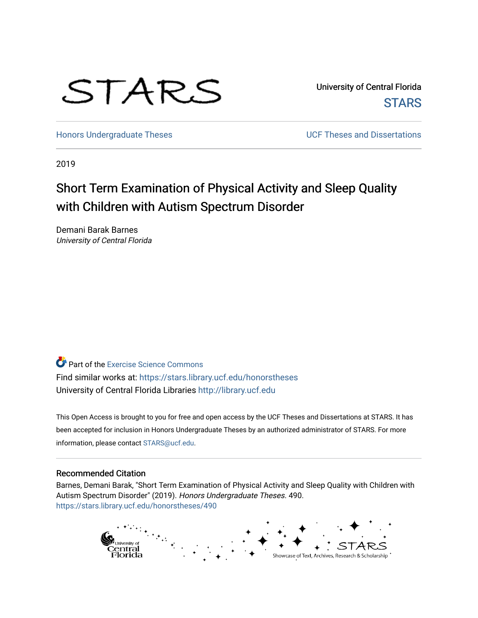

University of Central Florida **STARS** 

[Honors Undergraduate Theses](https://stars.library.ucf.edu/honorstheses) **No. 2018** UCF Theses and Dissertations

2019

# Short Term Examination of Physical Activity and Sleep Quality with Children with Autism Spectrum Disorder

Demani Barak Barnes University of Central Florida

**P** Part of the [Exercise Science Commons](http://network.bepress.com/hgg/discipline/1091?utm_source=stars.library.ucf.edu%2Fhonorstheses%2F490&utm_medium=PDF&utm_campaign=PDFCoverPages) Find similar works at: <https://stars.library.ucf.edu/honorstheses> University of Central Florida Libraries [http://library.ucf.edu](http://library.ucf.edu/) 

This Open Access is brought to you for free and open access by the UCF Theses and Dissertations at STARS. It has been accepted for inclusion in Honors Undergraduate Theses by an authorized administrator of STARS. For more information, please contact [STARS@ucf.edu.](mailto:STARS@ucf.edu)

### Recommended Citation

Barnes, Demani Barak, "Short Term Examination of Physical Activity and Sleep Quality with Children with Autism Spectrum Disorder" (2019). Honors Undergraduate Theses. 490. [https://stars.library.ucf.edu/honorstheses/490](https://stars.library.ucf.edu/honorstheses/490?utm_source=stars.library.ucf.edu%2Fhonorstheses%2F490&utm_medium=PDF&utm_campaign=PDFCoverPages) 

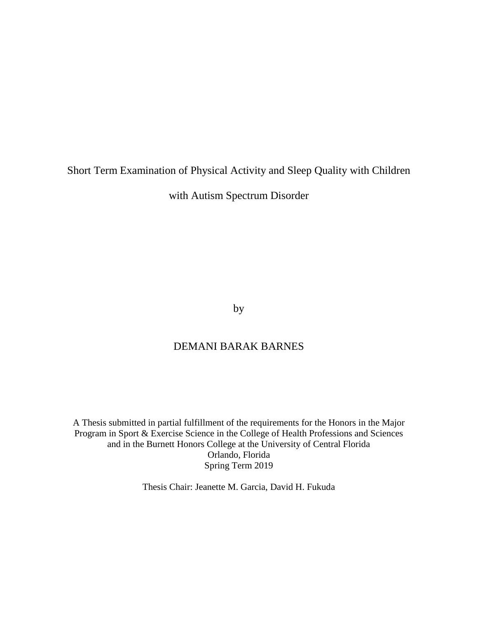## <span id="page-1-0"></span>Short Term Examination of Physical Activity and Sleep Quality with Children

with Autism Spectrum Disorder

by

## DEMANI BARAK BARNES

A Thesis submitted in partial fulfillment of the requirements for the Honors in the Major Program in Sport & Exercise Science in the College of Health Professions and Sciences and in the Burnett Honors College at the University of Central Florida Orlando, Florida Spring Term 2019

Thesis Chair: Jeanette M. Garcia, David H. Fukuda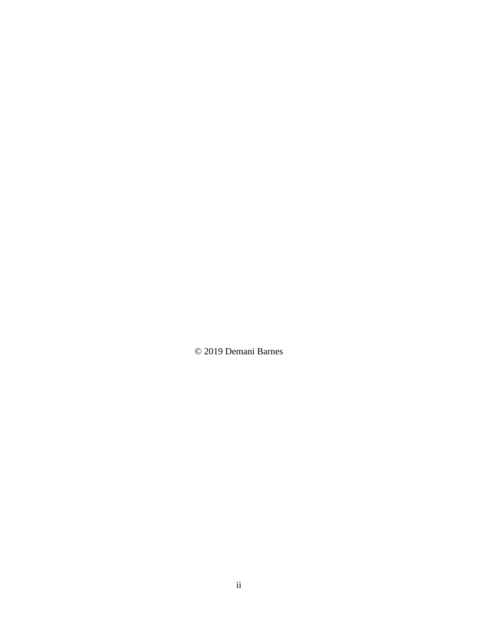© 2019 Demani Barnes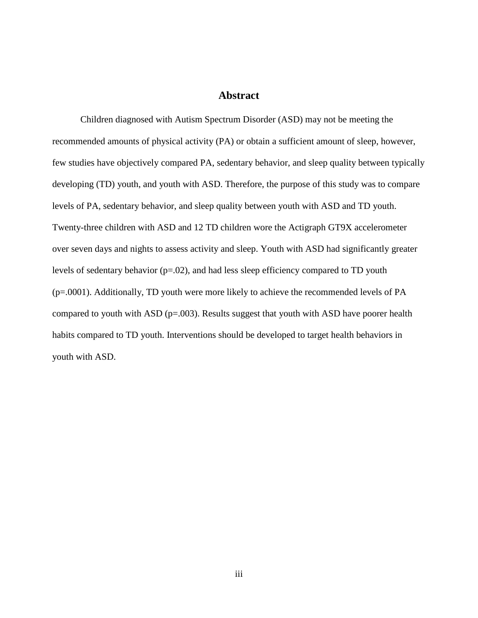## **Abstract**

<span id="page-3-0"></span>Children diagnosed with Autism Spectrum Disorder (ASD) may not be meeting the recommended amounts of physical activity (PA) or obtain a sufficient amount of sleep, however, few studies have objectively compared PA, sedentary behavior, and sleep quality between typically developing (TD) youth, and youth with ASD. Therefore, the purpose of this study was to compare levels of PA, sedentary behavior, and sleep quality between youth with ASD and TD youth. Twenty-three children with ASD and 12 TD children wore the Actigraph GT9X accelerometer over seven days and nights to assess activity and sleep. Youth with ASD had significantly greater levels of sedentary behavior (p=.02), and had less sleep efficiency compared to TD youth (p=.0001). Additionally, TD youth were more likely to achieve the recommended levels of PA compared to youth with ASD ( $p=.003$ ). Results suggest that youth with ASD have poorer health habits compared to TD youth. Interventions should be developed to target health behaviors in youth with ASD.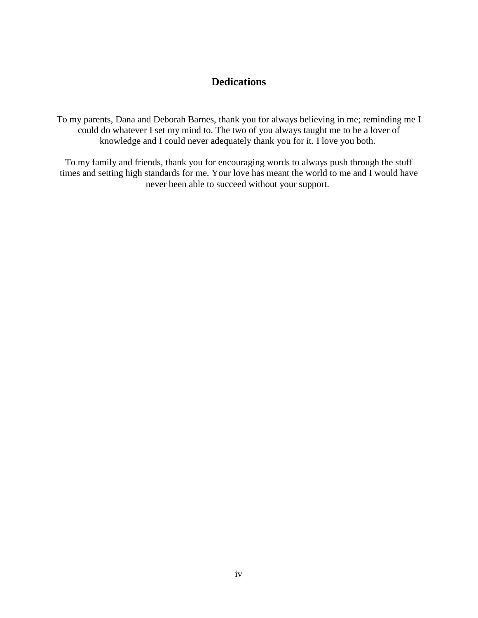## **Dedications**

<span id="page-4-0"></span>To my parents, Dana and Deborah Barnes, thank you for always believing in me; reminding me I could do whatever I set my mind to. The two of you always taught me to be a lover of knowledge and I could never adequately thank you for it. I love you both.

To my family and friends, thank you for encouraging words to always push through the stuff times and setting high standards for me. Your love has meant the world to me and I would have never been able to succeed without your support.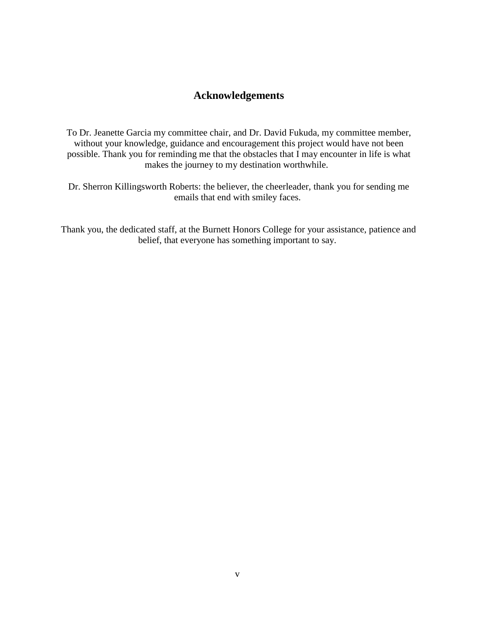## **Acknowledgements**

<span id="page-5-0"></span>To Dr. Jeanette Garcia my committee chair, and Dr. David Fukuda, my committee member, without your knowledge, guidance and encouragement this project would have not been possible. Thank you for reminding me that the obstacles that I may encounter in life is what makes the journey to my destination worthwhile.

Dr. Sherron Killingsworth Roberts: the believer, the cheerleader, thank you for sending me emails that end with smiley faces.

Thank you, the dedicated staff, at the Burnett Honors College for your assistance, patience and belief, that everyone has something important to say.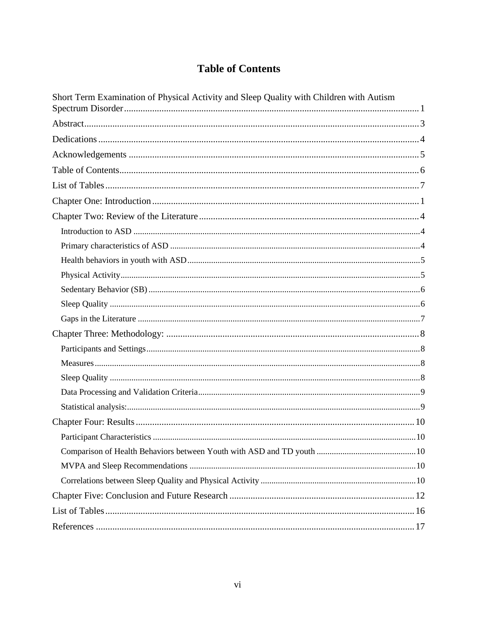## <span id="page-6-0"></span>**Table of Contents**

| Short Term Examination of Physical Activity and Sleep Quality with Children with Autism |
|-----------------------------------------------------------------------------------------|
|                                                                                         |
|                                                                                         |
|                                                                                         |
|                                                                                         |
|                                                                                         |
|                                                                                         |
|                                                                                         |
|                                                                                         |
|                                                                                         |
|                                                                                         |
|                                                                                         |
|                                                                                         |
|                                                                                         |
|                                                                                         |
|                                                                                         |
|                                                                                         |
|                                                                                         |
|                                                                                         |
|                                                                                         |
|                                                                                         |
|                                                                                         |
|                                                                                         |
|                                                                                         |
|                                                                                         |
|                                                                                         |
|                                                                                         |
|                                                                                         |
|                                                                                         |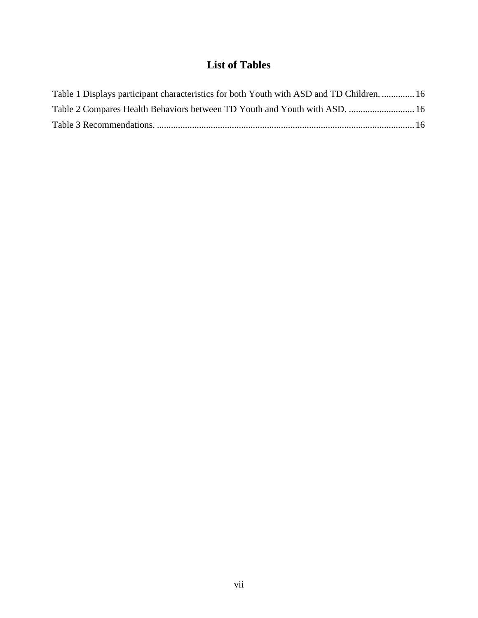## **List of Tables**

<span id="page-7-0"></span>

| Table 1 Displays participant characteristics for both Youth with ASD and TD Children.  16 |  |
|-------------------------------------------------------------------------------------------|--|
| Table 2 Compares Health Behaviors between TD Youth and Youth with ASD.  16                |  |
|                                                                                           |  |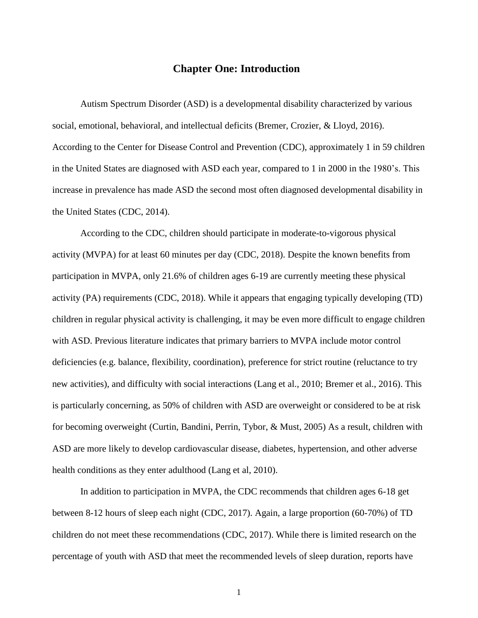## **Chapter One: Introduction**

<span id="page-8-0"></span>Autism Spectrum Disorder (ASD) is a developmental disability characterized by various social, emotional, behavioral, and intellectual deficits (Bremer, Crozier, & Lloyd, 2016). According to the Center for Disease Control and Prevention (CDC), approximately 1 in 59 children in the United States are diagnosed with ASD each year, compared to 1 in 2000 in the 1980's. This increase in prevalence has made ASD the second most often diagnosed developmental disability in the United States (CDC, 2014).

According to the CDC, children should participate in moderate-to-vigorous physical activity (MVPA) for at least 60 minutes per day (CDC, 2018). Despite the known benefits from participation in MVPA, only 21.6% of children ages 6-19 are currently meeting these physical activity (PA) requirements (CDC, 2018). While it appears that engaging typically developing (TD) children in regular physical activity is challenging, it may be even more difficult to engage children with ASD. Previous literature indicates that primary barriers to MVPA include motor control deficiencies (e.g. balance, flexibility, coordination), preference for strict routine (reluctance to try new activities), and difficulty with social interactions (Lang et al., 2010; Bremer et al., 2016). This is particularly concerning, as 50% of children with ASD are overweight or considered to be at risk for becoming overweight (Curtin, Bandini, Perrin, Tybor, & Must, 2005) As a result, children with ASD are more likely to develop cardiovascular disease, diabetes, hypertension, and other adverse health conditions as they enter adulthood (Lang et al, 2010).

In addition to participation in MVPA, the CDC recommends that children ages 6-18 get between 8-12 hours of sleep each night (CDC, 2017). Again, a large proportion (60-70%) of TD children do not meet these recommendations (CDC, 2017). While there is limited research on the percentage of youth with ASD that meet the recommended levels of sleep duration, reports have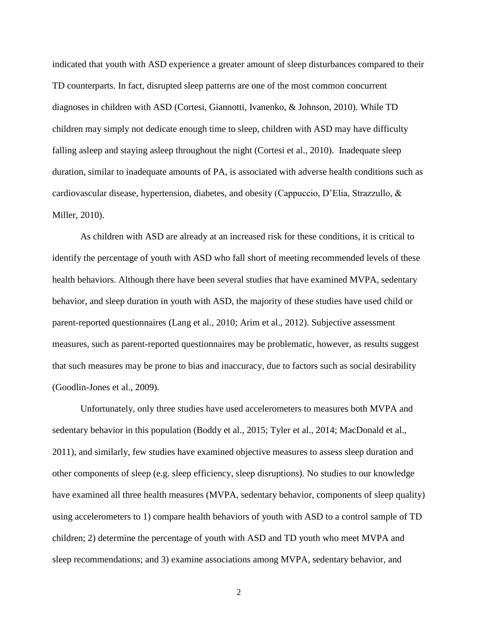indicated that youth with ASD experience a greater amount of sleep disturbances compared to their TD counterparts. In fact, disrupted sleep patterns are one of the most common concurrent diagnoses in children with ASD (Cortesi, Giannotti, Ivanenko, & Johnson, 2010). While TD children may simply not dedicate enough time to sleep, children with ASD may have difficulty falling asleep and staying asleep throughout the night (Cortesi et al., 2010). Inadequate sleep duration, similar to inadequate amounts of PA, is associated with adverse health conditions such as cardiovascular disease, hypertension, diabetes, and obesity (Cappuccio, D'Elia, Strazzullo, & Miller, 2010).

As children with ASD are already at an increased risk for these conditions, it is critical to identify the percentage of youth with ASD who fall short of meeting recommended levels of these health behaviors. Although there have been several studies that have examined MVPA, sedentary behavior, and sleep duration in youth with ASD, the majority of these studies have used child or parent-reported questionnaires (Lang et al., 2010; Arim et al., 2012). Subjective assessment measures, such as parent-reported questionnaires may be problematic, however, as results suggest that such measures may be prone to bias and inaccuracy, due to factors such as social desirability (Goodlin-Jones et al., 2009).

Unfortunately, only three studies have used accelerometers to measures both MVPA and sedentary behavior in this population (Boddy et al., 2015; Tyler et al., 2014; MacDonald et al., 2011), and similarly, few studies have examined objective measures to assess sleep duration and other components of sleep (e.g. sleep efficiency, sleep disruptions). No studies to our knowledge have examined all three health measures (MVPA, sedentary behavior, components of sleep quality) using accelerometers to 1) compare health behaviors of youth with ASD to a control sample of TD children; 2) determine the percentage of youth with ASD and TD youth who meet MVPA and sleep recommendations; and 3) examine associations among MVPA, sedentary behavior, and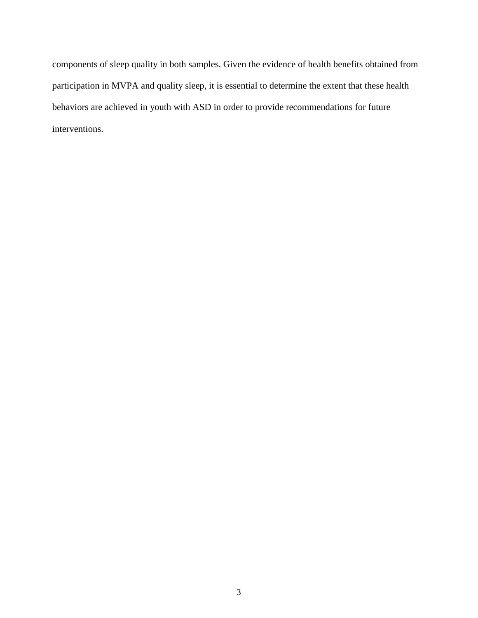components of sleep quality in both samples. Given the evidence of health benefits obtained from participation in MVPA and quality sleep, it is essential to determine the extent that these health behaviors are achieved in youth with ASD in order to provide recommendations for future interventions.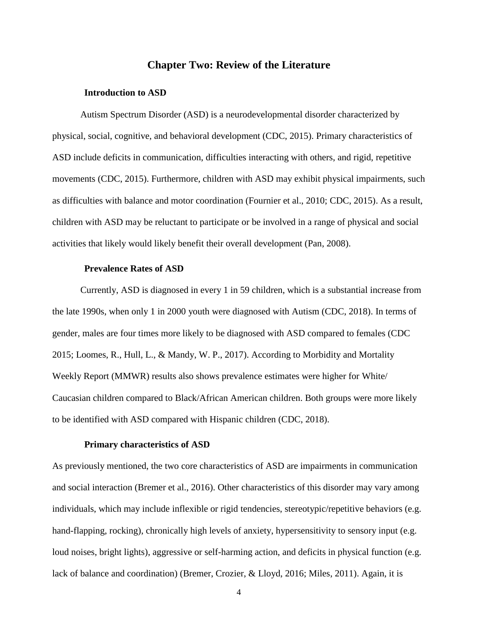## **Chapter Two: Review of the Literature**

#### <span id="page-11-0"></span>**Introduction to ASD**

<span id="page-11-1"></span>Autism Spectrum Disorder (ASD) is a neurodevelopmental disorder characterized by physical, social, cognitive, and behavioral development (CDC, 2015). Primary characteristics of ASD include deficits in communication, difficulties interacting with others, and rigid, repetitive movements (CDC, 2015). Furthermore, children with ASD may exhibit physical impairments, such as difficulties with balance and motor coordination (Fournier et al., 2010; CDC, 2015). As a result, children with ASD may be reluctant to participate or be involved in a range of physical and social activities that likely would likely benefit their overall development (Pan, 2008).

#### **Prevalence Rates of ASD**

Currently, ASD is diagnosed in every 1 in 59 children, which is a substantial increase from the late 1990s, when only 1 in 2000 youth were diagnosed with Autism (CDC, 2018). In terms of gender, males are four times more likely to be diagnosed with ASD compared to females (CDC 2015; Loomes, R., Hull, L., & Mandy, W. P., 2017). According to Morbidity and Mortality Weekly Report (MMWR) results also shows prevalence estimates were higher for White/ Caucasian children compared to Black/African American children. Both groups were more likely to be identified with ASD compared with Hispanic children (CDC, 2018).

### **Primary characteristics of ASD**

<span id="page-11-2"></span>As previously mentioned, the two core characteristics of ASD are impairments in communication and social interaction (Bremer et al., 2016). Other characteristics of this disorder may vary among individuals, which may include inflexible or rigid tendencies, stereotypic/repetitive behaviors (e.g. hand-flapping, rocking), chronically high levels of anxiety, hypersensitivity to sensory input (e.g. loud noises, bright lights), aggressive or self-harming action, and deficits in physical function (e.g. lack of balance and coordination) (Bremer, Crozier, & Lloyd, 2016; Miles, 2011). Again, it is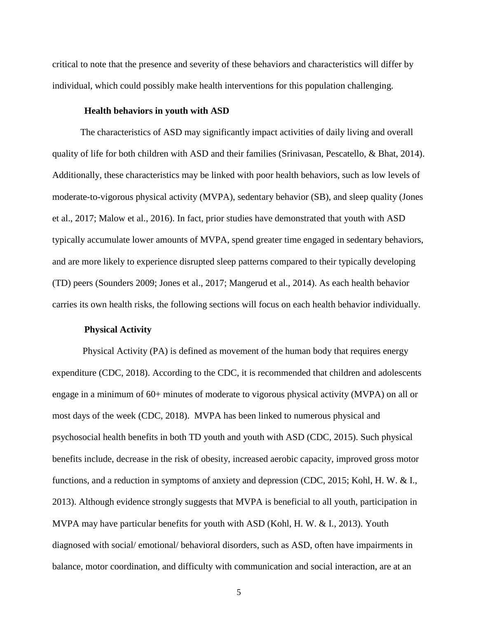critical to note that the presence and severity of these behaviors and characteristics will differ by individual, which could possibly make health interventions for this population challenging.

#### **Health behaviors in youth with ASD**

<span id="page-12-0"></span>The characteristics of ASD may significantly impact activities of daily living and overall quality of life for both children with ASD and their families (Srinivasan, Pescatello, & Bhat, 2014). Additionally, these characteristics may be linked with poor health behaviors, such as low levels of moderate-to-vigorous physical activity (MVPA), sedentary behavior (SB), and sleep quality (Jones et al., 2017; Malow et al., 2016). In fact, prior studies have demonstrated that youth with ASD typically accumulate lower amounts of MVPA, spend greater time engaged in sedentary behaviors, and are more likely to experience disrupted sleep patterns compared to their typically developing (TD) peers (Sounders 2009; Jones et al., 2017; Mangerud et al., 2014). As each health behavior carries its own health risks, the following sections will focus on each health behavior individually.

#### **Physical Activity**

<span id="page-12-1"></span>Physical Activity (PA) is defined as movement of the human body that requires energy expenditure (CDC, 2018). According to the CDC, it is recommended that children and adolescents engage in a minimum of 60+ minutes of moderate to vigorous physical activity (MVPA) on all or most days of the week (CDC, 2018). MVPA has been linked to numerous physical and psychosocial health benefits in both TD youth and youth with ASD (CDC, 2015). Such physical benefits include, decrease in the risk of obesity, increased aerobic capacity, improved gross motor functions, and a reduction in symptoms of anxiety and depression (CDC, 2015; Kohl, H. W. & I., 2013). Although evidence strongly suggests that MVPA is beneficial to all youth, participation in MVPA may have particular benefits for youth with ASD (Kohl, H. W. & I., 2013). Youth diagnosed with social/ emotional/ behavioral disorders, such as ASD, often have impairments in balance, motor coordination, and difficulty with communication and social interaction, are at an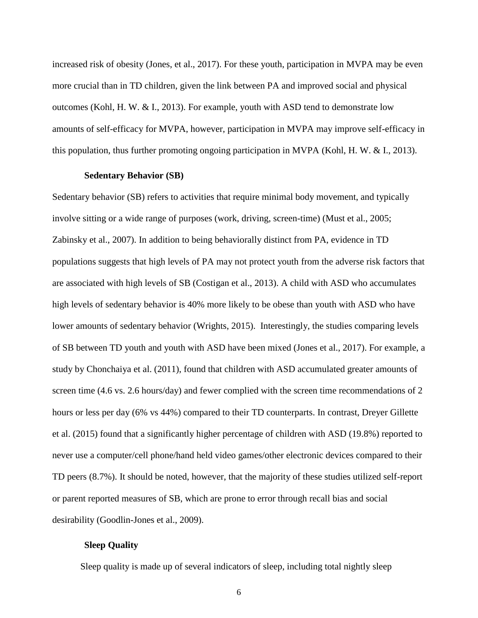increased risk of obesity (Jones, et al., 2017). For these youth, participation in MVPA may be even more crucial than in TD children, given the link between PA and improved social and physical outcomes (Kohl, H. W. & I., 2013). For example, youth with ASD tend to demonstrate low amounts of self-efficacy for MVPA, however, participation in MVPA may improve self-efficacy in this population, thus further promoting ongoing participation in MVPA (Kohl, H. W. & I., 2013).

#### **Sedentary Behavior (SB)**

<span id="page-13-0"></span>Sedentary behavior (SB) refers to activities that require minimal body movement, and typically involve sitting or a wide range of purposes (work, driving, screen-time) (Must et al., 2005; Zabinsky et al., 2007). In addition to being behaviorally distinct from PA, evidence in TD populations suggests that high levels of PA may not protect youth from the adverse risk factors that are associated with high levels of SB (Costigan et al., 2013). A child with ASD who accumulates high levels of sedentary behavior is 40% more likely to be obese than youth with ASD who have lower amounts of sedentary behavior (Wrights, 2015). Interestingly, the studies comparing levels of SB between TD youth and youth with ASD have been mixed (Jones et al., 2017). For example, a study by Chonchaiya et al. (2011), found that children with ASD accumulated greater amounts of screen time (4.6 vs. 2.6 hours/day) and fewer complied with the screen time recommendations of 2 hours or less per day (6% vs 44%) compared to their TD counterparts. In contrast, Dreyer Gillette et al. (2015) found that a significantly higher percentage of children with ASD (19.8%) reported to never use a computer/cell phone/hand held video games/other electronic devices compared to their TD peers (8.7%). It should be noted, however, that the majority of these studies utilized self-report or parent reported measures of SB, which are prone to error through recall bias and social desirability (Goodlin-Jones et al., 2009).

### <span id="page-13-1"></span>**Sleep Quality**

Sleep quality is made up of several indicators of sleep, including total nightly sleep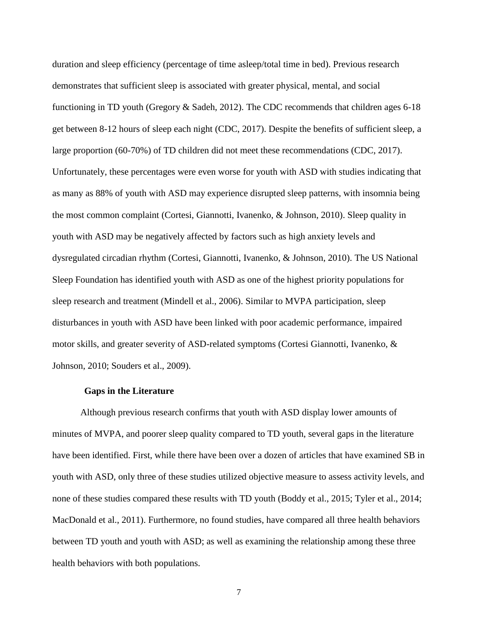duration and sleep efficiency (percentage of time asleep/total time in bed). Previous research demonstrates that sufficient sleep is associated with greater physical, mental, and social functioning in TD youth (Gregory & Sadeh, 2012). The CDC recommends that children ages 6-18 get between 8-12 hours of sleep each night (CDC, 2017). Despite the benefits of sufficient sleep, a large proportion (60-70%) of TD children did not meet these recommendations (CDC, 2017). Unfortunately, these percentages were even worse for youth with ASD with studies indicating that as many as 88% of youth with ASD may experience disrupted sleep patterns, with insomnia being the most common complaint (Cortesi, Giannotti, Ivanenko, & Johnson, 2010). Sleep quality in youth with ASD may be negatively affected by factors such as high anxiety levels and dysregulated circadian rhythm (Cortesi, Giannotti, Ivanenko, & Johnson, 2010). The US National Sleep Foundation has identified youth with ASD as one of the highest priority populations for sleep research and treatment (Mindell et al., 2006). Similar to MVPA participation, sleep disturbances in youth with ASD have been linked with poor academic performance, impaired motor skills, and greater severity of ASD-related symptoms (Cortesi Giannotti, Ivanenko, & Johnson, 2010; Souders et al., 2009).

#### **Gaps in the Literature**

<span id="page-14-0"></span>Although previous research confirms that youth with ASD display lower amounts of minutes of MVPA, and poorer sleep quality compared to TD youth, several gaps in the literature have been identified. First, while there have been over a dozen of articles that have examined SB in youth with ASD, only three of these studies utilized objective measure to assess activity levels, and none of these studies compared these results with TD youth (Boddy et al., 2015; Tyler et al., 2014; MacDonald et al., 2011). Furthermore, no found studies, have compared all three health behaviors between TD youth and youth with ASD; as well as examining the relationship among these three health behaviors with both populations.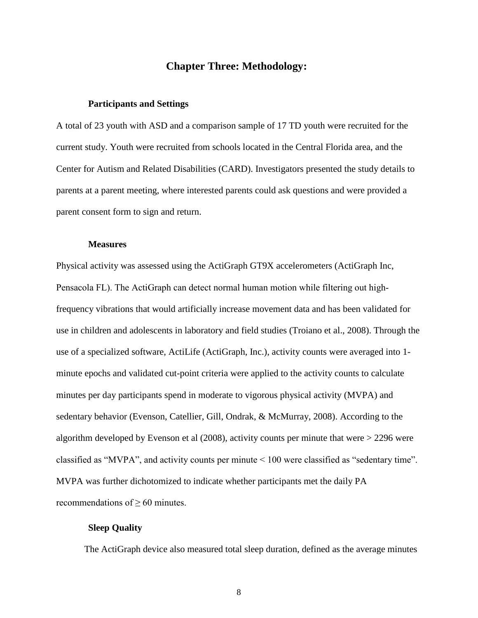## **Chapter Three: Methodology:**

#### <span id="page-15-0"></span>**Participants and Settings**

<span id="page-15-1"></span>A total of 23 youth with ASD and a comparison sample of 17 TD youth were recruited for the current study. Youth were recruited from schools located in the Central Florida area, and the Center for Autism and Related Disabilities (CARD). Investigators presented the study details to parents at a parent meeting, where interested parents could ask questions and were provided a parent consent form to sign and return.

#### **Measures**

<span id="page-15-2"></span>Physical activity was assessed using the ActiGraph GT9X accelerometers (ActiGraph Inc, Pensacola FL). The ActiGraph can detect normal human motion while filtering out highfrequency vibrations that would artificially increase movement data and has been validated for use in children and adolescents in laboratory and field studies (Troiano et al., 2008). Through the use of a specialized software, ActiLife (ActiGraph, Inc.), activity counts were averaged into 1 minute epochs and validated cut-point criteria were applied to the activity counts to calculate minutes per day participants spend in moderate to vigorous physical activity (MVPA) and sedentary behavior (Evenson, Catellier, Gill, Ondrak, & McMurray, 2008). According to the algorithm developed by Evenson et al (2008), activity counts per minute that were > 2296 were classified as "MVPA", and activity counts per minute < 100 were classified as "sedentary time". MVPA was further dichotomized to indicate whether participants met the daily PA recommendations of ≥ 60 minutes.

#### <span id="page-15-3"></span>**Sleep Quality**

The ActiGraph device also measured total sleep duration, defined as the average minutes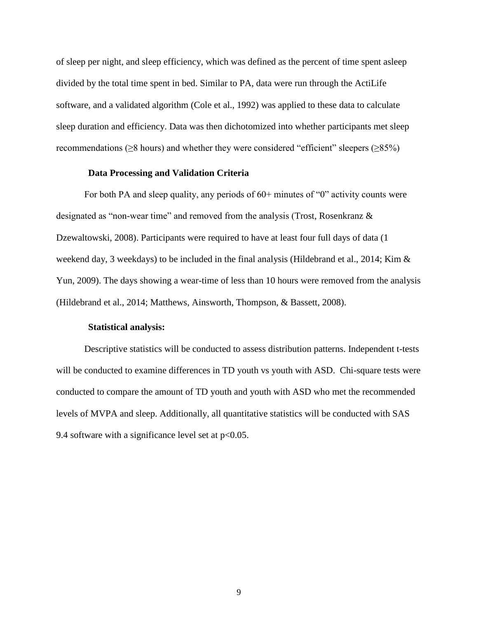of sleep per night, and sleep efficiency, which was defined as the percent of time spent asleep divided by the total time spent in bed. Similar to PA, data were run through the ActiLife software, and a validated algorithm (Cole et al., 1992) was applied to these data to calculate sleep duration and efficiency. Data was then dichotomized into whether participants met sleep recommendations ( $\geq$ 8 hours) and whether they were considered "efficient" sleepers ( $\geq$ 85%)

#### **Data Processing and Validation Criteria**

<span id="page-16-0"></span>For both PA and sleep quality, any periods of  $60+$  minutes of "0" activity counts were designated as "non-wear time" and removed from the analysis (Trost, Rosenkranz & Dzewaltowski, 2008). Participants were required to have at least four full days of data (1 weekend day, 3 weekdays) to be included in the final analysis (Hildebrand et al., 2014; Kim & Yun, 2009). The days showing a wear-time of less than 10 hours were removed from the analysis (Hildebrand et al., 2014; Matthews, Ainsworth, Thompson, & Bassett, 2008).

#### **Statistical analysis:**

<span id="page-16-1"></span>Descriptive statistics will be conducted to assess distribution patterns. Independent t-tests will be conducted to examine differences in TD youth vs youth with ASD. Chi-square tests were conducted to compare the amount of TD youth and youth with ASD who met the recommended levels of MVPA and sleep. Additionally, all quantitative statistics will be conducted with SAS 9.4 software with a significance level set at  $p<0.05$ .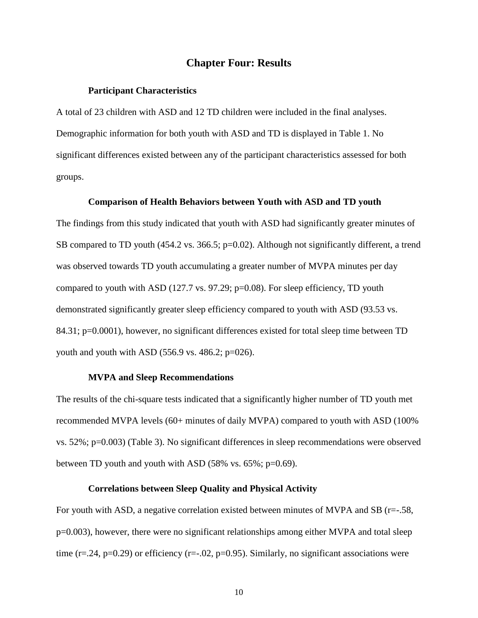### **Chapter Four: Results**

#### <span id="page-17-0"></span>**Participant Characteristics**

<span id="page-17-1"></span>A total of 23 children with ASD and 12 TD children were included in the final analyses. Demographic information for both youth with ASD and TD is displayed in Table 1. No significant differences existed between any of the participant characteristics assessed for both groups.

#### **Comparison of Health Behaviors between Youth with ASD and TD youth**

<span id="page-17-2"></span>The findings from this study indicated that youth with ASD had significantly greater minutes of SB compared to TD youth (454.2 vs. 366.5; p=0.02). Although not significantly different, a trend was observed towards TD youth accumulating a greater number of MVPA minutes per day compared to youth with ASD (127.7 vs. 97.29; p=0.08). For sleep efficiency, TD youth demonstrated significantly greater sleep efficiency compared to youth with ASD (93.53 vs. 84.31; p=0.0001), however, no significant differences existed for total sleep time between TD youth and youth with ASD  $(556.9 \text{ vs. } 486.2; \text{ p} = 026)$ .

#### **MVPA and Sleep Recommendations**

<span id="page-17-3"></span>The results of the chi-square tests indicated that a significantly higher number of TD youth met recommended MVPA levels (60+ minutes of daily MVPA) compared to youth with ASD (100% vs. 52%; p=0.003) (Table 3). No significant differences in sleep recommendations were observed between TD youth and youth with ASD (58% vs. 65%; p=0.69).

### **Correlations between Sleep Quality and Physical Activity**

<span id="page-17-4"></span>For youth with ASD, a negative correlation existed between minutes of MVPA and SB (r=-.58, p=0.003), however, there were no significant relationships among either MVPA and total sleep time ( $r = .24$ ,  $p = 0.29$ ) or efficiency ( $r = .02$ ,  $p = 0.95$ ). Similarly, no significant associations were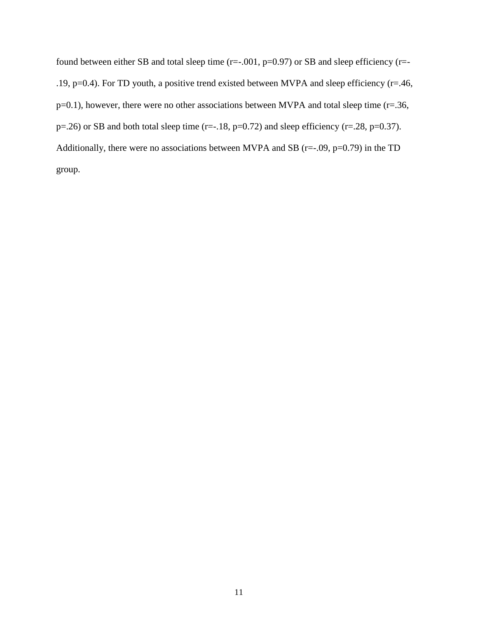found between either SB and total sleep time (r=-.001, p=0.97) or SB and sleep efficiency (r=- .19, p=0.4). For TD youth, a positive trend existed between MVPA and sleep efficiency (r=.46, p=0.1), however, there were no other associations between MVPA and total sleep time (r=.36,  $p=.26$  or SB and both total sleep time (r= $-.18$ , p=0.72) and sleep efficiency (r=.28, p=0.37). Additionally, there were no associations between MVPA and SB ( $r=-.09$ ,  $p=0.79$ ) in the TD group.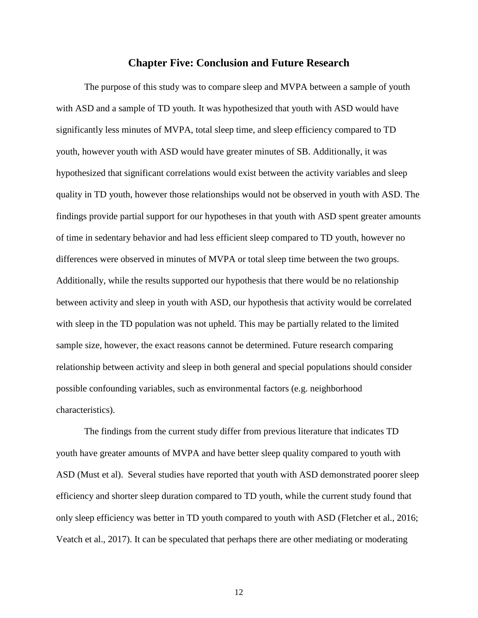### **Chapter Five: Conclusion and Future Research**

<span id="page-19-0"></span>The purpose of this study was to compare sleep and MVPA between a sample of youth with ASD and a sample of TD youth. It was hypothesized that youth with ASD would have significantly less minutes of MVPA, total sleep time, and sleep efficiency compared to TD youth, however youth with ASD would have greater minutes of SB. Additionally, it was hypothesized that significant correlations would exist between the activity variables and sleep quality in TD youth, however those relationships would not be observed in youth with ASD. The findings provide partial support for our hypotheses in that youth with ASD spent greater amounts of time in sedentary behavior and had less efficient sleep compared to TD youth, however no differences were observed in minutes of MVPA or total sleep time between the two groups. Additionally, while the results supported our hypothesis that there would be no relationship between activity and sleep in youth with ASD, our hypothesis that activity would be correlated with sleep in the TD population was not upheld. This may be partially related to the limited sample size, however, the exact reasons cannot be determined. Future research comparing relationship between activity and sleep in both general and special populations should consider possible confounding variables, such as environmental factors (e.g. neighborhood characteristics).

The findings from the current study differ from previous literature that indicates TD youth have greater amounts of MVPA and have better sleep quality compared to youth with ASD (Must et al). Several studies have reported that youth with ASD demonstrated poorer sleep efficiency and shorter sleep duration compared to TD youth, while the current study found that only sleep efficiency was better in TD youth compared to youth with ASD (Fletcher et al., 2016; Veatch et al., 2017). It can be speculated that perhaps there are other mediating or moderating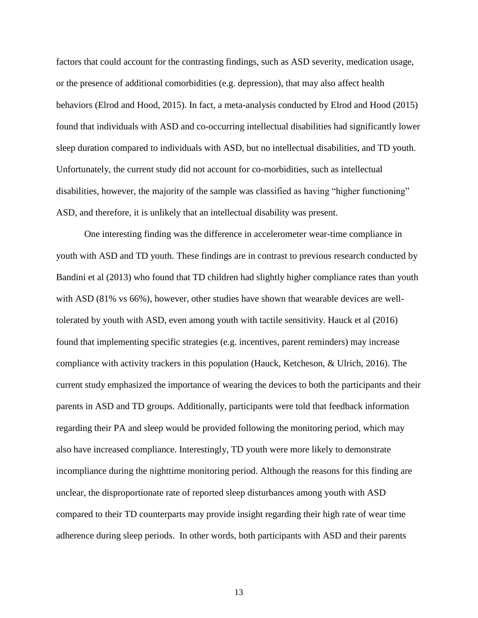factors that could account for the contrasting findings, such as ASD severity, medication usage, or the presence of additional comorbidities (e.g. depression), that may also affect health behaviors (Elrod and Hood, 2015). In fact, a meta-analysis conducted by Elrod and Hood (2015) found that individuals with ASD and co-occurring intellectual disabilities had significantly lower sleep duration compared to individuals with ASD, but no intellectual disabilities, and TD youth. Unfortunately, the current study did not account for co-morbidities, such as intellectual disabilities, however, the majority of the sample was classified as having "higher functioning" ASD, and therefore, it is unlikely that an intellectual disability was present.

One interesting finding was the difference in accelerometer wear-time compliance in youth with ASD and TD youth. These findings are in contrast to previous research conducted by Bandini et al (2013) who found that TD children had slightly higher compliance rates than youth with ASD (81% vs 66%), however, other studies have shown that wearable devices are welltolerated by youth with ASD, even among youth with tactile sensitivity. Hauck et al (2016) found that implementing specific strategies (e.g. incentives, parent reminders) may increase compliance with activity trackers in this population (Hauck, Ketcheson, & Ulrich, 2016). The current study emphasized the importance of wearing the devices to both the participants and their parents in ASD and TD groups. Additionally, participants were told that feedback information regarding their PA and sleep would be provided following the monitoring period, which may also have increased compliance. Interestingly, TD youth were more likely to demonstrate incompliance during the nighttime monitoring period. Although the reasons for this finding are unclear, the disproportionate rate of reported sleep disturbances among youth with ASD compared to their TD counterparts may provide insight regarding their high rate of wear time adherence during sleep periods. In other words, both participants with ASD and their parents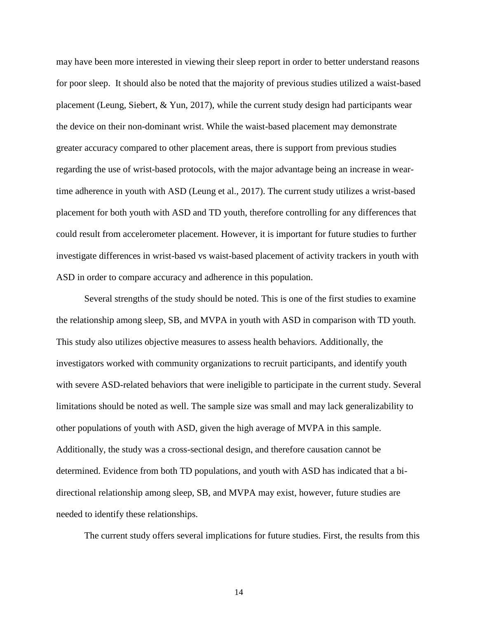may have been more interested in viewing their sleep report in order to better understand reasons for poor sleep. It should also be noted that the majority of previous studies utilized a waist-based placement (Leung, Siebert, & Yun, 2017), while the current study design had participants wear the device on their non-dominant wrist. While the waist-based placement may demonstrate greater accuracy compared to other placement areas, there is support from previous studies regarding the use of wrist-based protocols, with the major advantage being an increase in weartime adherence in youth with ASD (Leung et al., 2017). The current study utilizes a wrist-based placement for both youth with ASD and TD youth, therefore controlling for any differences that could result from accelerometer placement. However, it is important for future studies to further investigate differences in wrist-based vs waist-based placement of activity trackers in youth with ASD in order to compare accuracy and adherence in this population.

Several strengths of the study should be noted. This is one of the first studies to examine the relationship among sleep, SB, and MVPA in youth with ASD in comparison with TD youth. This study also utilizes objective measures to assess health behaviors. Additionally, the investigators worked with community organizations to recruit participants, and identify youth with severe ASD-related behaviors that were ineligible to participate in the current study. Several limitations should be noted as well. The sample size was small and may lack generalizability to other populations of youth with ASD, given the high average of MVPA in this sample. Additionally, the study was a cross-sectional design, and therefore causation cannot be determined. Evidence from both TD populations, and youth with ASD has indicated that a bidirectional relationship among sleep, SB, and MVPA may exist, however, future studies are needed to identify these relationships.

The current study offers several implications for future studies. First, the results from this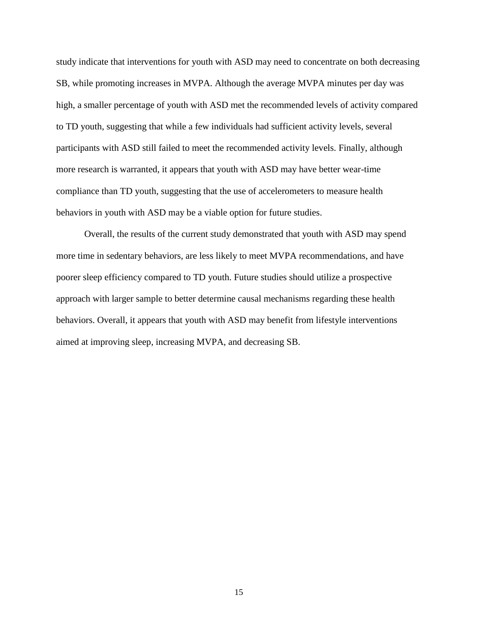study indicate that interventions for youth with ASD may need to concentrate on both decreasing SB, while promoting increases in MVPA. Although the average MVPA minutes per day was high, a smaller percentage of youth with ASD met the recommended levels of activity compared to TD youth, suggesting that while a few individuals had sufficient activity levels, several participants with ASD still failed to meet the recommended activity levels. Finally, although more research is warranted, it appears that youth with ASD may have better wear-time compliance than TD youth, suggesting that the use of accelerometers to measure health behaviors in youth with ASD may be a viable option for future studies.

Overall, the results of the current study demonstrated that youth with ASD may spend more time in sedentary behaviors, are less likely to meet MVPA recommendations, and have poorer sleep efficiency compared to TD youth. Future studies should utilize a prospective approach with larger sample to better determine causal mechanisms regarding these health behaviors. Overall, it appears that youth with ASD may benefit from lifestyle interventions aimed at improving sleep, increasing MVPA, and decreasing SB.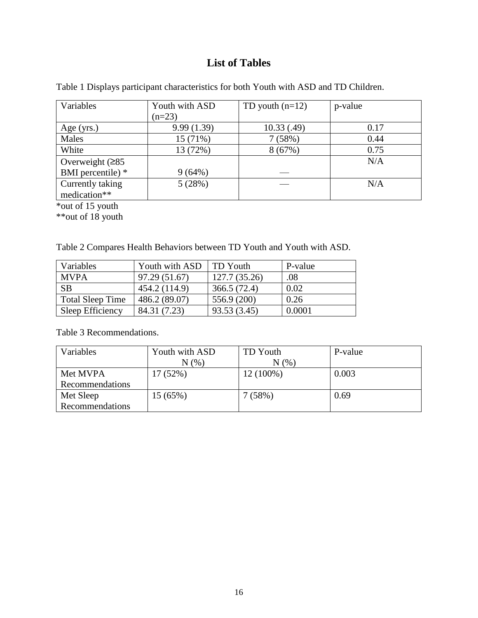## **List of Tables**

| Variables         | Youth with ASD | TD youth $(n=12)$ | p-value |
|-------------------|----------------|-------------------|---------|
|                   | $(n=23)$       |                   |         |
| Age $(yrs.)$      | 9.99(1.39)     | 10.33(.49)        | 0.17    |
| Males             | 15 (71%)       | 7(58%)            | 0.44    |
| White             | 13 (72%)       | 8(67%)            | 0.75    |
| Overweight $(285$ |                |                   | N/A     |
| BMI percentile) * | 9(64%)         |                   |         |
| Currently taking  | 5(28%)         |                   | N/A     |
| medication**      |                |                   |         |

<span id="page-23-1"></span><span id="page-23-0"></span>Table 1 Displays participant characteristics for both Youth with ASD and TD Children.

\*out of 15 youth

\*\*out of 18 youth

<span id="page-23-2"></span>Table 2 Compares Health Behaviors between TD Youth and Youth with ASD.

| Variables               | Youth with ASD | <b>TD</b> Youth | P-value |
|-------------------------|----------------|-----------------|---------|
| <b>MVPA</b>             | 97.29 (51.67)  | 127.7 (35.26)   | .08     |
| <b>SB</b>               | 454.2 (114.9)  | 366.5 (72.4)    | 0.02    |
| <b>Total Sleep Time</b> | 486.2 (89.07)  | 556.9 (200)     | 0.26    |
| Sleep Efficiency        | 84.31 (7.23)   | 93.53 (3.45)    | 0.0001  |

<span id="page-23-3"></span>Table 3 Recommendations.

| Variables       | Youth with ASD | TD Youth   | P-value |
|-----------------|----------------|------------|---------|
|                 | N(%            | $N$ $(\%)$ |         |
| Met MVPA        | 17(52%)        | 12 (100%)  | 0.003   |
| Recommendations |                |            |         |
| Met Sleep       | 15 (65%)       | 7(58%)     | 0.69    |
| Recommendations |                |            |         |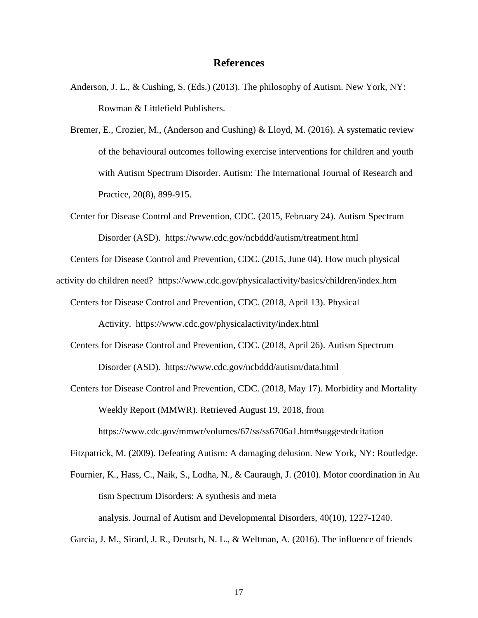### **References**

- <span id="page-24-0"></span>Anderson, J. L., & Cushing, S. (Eds.) (2013). The philosophy of Autism. New York, NY: Rowman & Littlefield Publishers.
- Bremer, E., Crozier, M., (Anderson and Cushing) & Lloyd, M. (2016). A systematic review of the behavioural outcomes following exercise interventions for children and youth with Autism Spectrum Disorder. Autism: The International Journal of Research and Practice, 20(8), 899-915.
- Center for Disease Control and Prevention, CDC. (2015, February 24). Autism Spectrum Disorder (ASD). <https://www.cdc.gov/ncbddd/autism/treatment.html>

Centers for Disease Control and Prevention, CDC. (2015, June 04). How much physical

activity do children need? <https://www.cdc.gov/physicalactivity/basics/children/index.htm>

Centers for Disease Control and Prevention, CDC. (2018, April 13). Physical

Activity. <https://www.cdc.gov/physicalactivity/index.html>

- Centers for Disease Control and Prevention, CDC. (2018, April 26). Autism Spectrum Disorder (ASD). <https://www.cdc.gov/ncbddd/autism/data.html>
- Centers for Disease Control and Prevention, CDC. (2018, May 17). Morbidity and Mortality Weekly Report (MMWR). Retrieved August 19, 2018, from https://www.cdc.gov/mmwr/volumes/67/ss/ss6706a1.htm#suggestedcitation

Fitzpatrick, M. (2009). Defeating Autism: A damaging delusion. New York, NY: Routledge.

Fournier, K., Hass, C., Naik, S., Lodha, N., & Cauraugh, J. (2010). Motor coordination in Au tism Spectrum Disorders: A synthesis and meta analysis. Journal of Autism and Developmental Disorders, 40(10), 1227-1240.

Garcia, J. M., Sirard, J. R., Deutsch, N. L., & Weltman, A. (2016). The influence of friends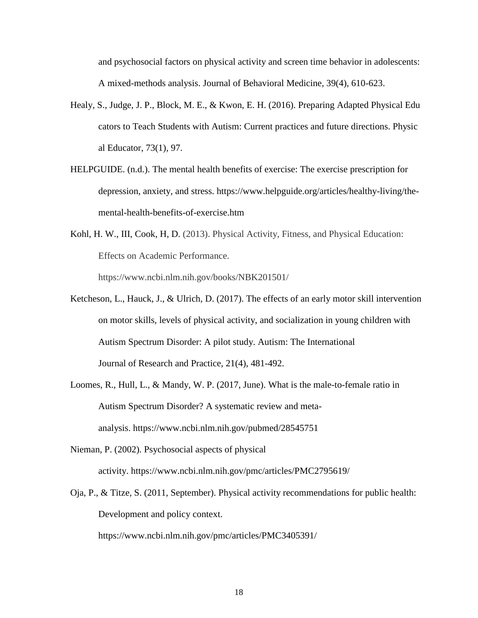and psychosocial factors on physical activity and screen time behavior in adolescents: A mixed-methods analysis. Journal of Behavioral Medicine, 39(4), 610-623.

- Healy, S., Judge, J. P., Block, M. E., & Kwon, E. H. (2016). Preparing Adapted Physical Edu cators to Teach Students with Autism: Current practices and future directions. Physic al Educator, 73(1), 97.
- HELPGUIDE. (n.d.). The mental health benefits of exercise: The exercise prescription for depression, anxiety, and stress. https://www.helpguide.org/articles/healthy-living/themental-health-benefits-of-exercise.htm
- Kohl, H. W., III, Cook, H, D. (2013). Physical Activity, Fitness, and Physical Education: Effects on Academic Performance. https://www.ncbi.nlm.nih.gov/books/NBK201501/
- Ketcheson, L., Hauck, J., & Ulrich, D. (2017). The effects of an early motor skill intervention on motor skills, levels of physical activity, and socialization in young children with Autism Spectrum Disorder: A pilot study. Autism: The International Journal of Research and Practice, 21(4), 481-492.
- Loomes, R., Hull, L., & Mandy, W. P. (2017, June). What is the male-to-female ratio in Autism Spectrum Disorder? A systematic review and metaanalysis. <https://www.ncbi.nlm.nih.gov/pubmed/28545751>
- Nieman, P. (2002). Psychosocial aspects of physical activity. <https://www.ncbi.nlm.nih.gov/pmc/articles/PMC2795619/>
- Oja, P., & Titze, S. (2011, September). Physical activity recommendations for public health: Development and policy context.

<https://www.ncbi.nlm.nih.gov/pmc/articles/PMC3405391/>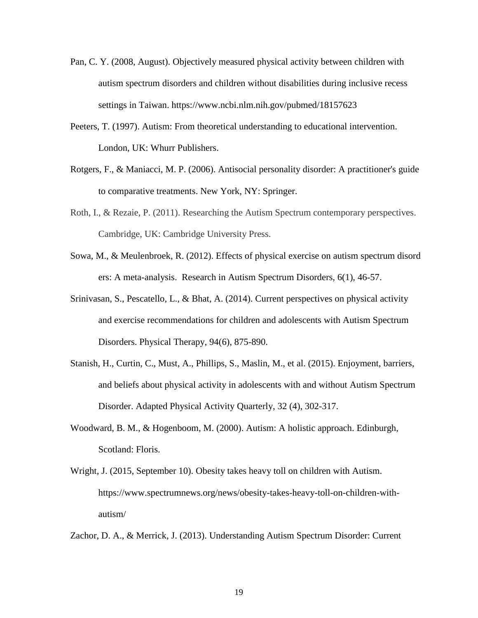- Pan, C. Y. (2008, August). Objectively measured physical activity between children with autism spectrum disorders and children without disabilities during inclusive recess settings in Taiwan. https://www.ncbi.nlm.nih.gov/pubmed/18157623
- Peeters, T. (1997). Autism: From theoretical understanding to educational intervention. London, UK: Whurr Publishers.
- Rotgers, F., & Maniacci, M. P. (2006). Antisocial personality disorder: A practitioner's guide to comparative treatments. New York, NY: Springer.
- Roth, I., & Rezaie, P. (2011). Researching the Autism Spectrum contemporary perspectives. Cambridge, UK: Cambridge University Press.
- Sowa, M., & Meulenbroek, R. (2012). Effects of physical exercise on autism spectrum disord ers: A meta-analysis. Research in Autism Spectrum Disorders, 6(1), 46‐57.
- Srinivasan, S., Pescatello, L., & Bhat, A. (2014). Current perspectives on physical activity and exercise recommendations for children and adolescents with Autism Spectrum Disorders. Physical Therapy, 94(6), 875-890.
- Stanish, H., Curtin, C., Must, A., Phillips, S., Maslin, M., et al. (2015). Enjoyment, barriers, and beliefs about physical activity in adolescents with and without Autism Spectrum Disorder. Adapted Physical Activity Quarterly, 32 (4), 302-317.
- Woodward, B. M., & Hogenboom, M. (2000). Autism: A holistic approach. Edinburgh, Scotland: Floris.
- Wright, J. (2015, September 10). Obesity takes heavy toll on children with Autism. [https://www.spectrumnews.org/news/obesity-takes-heavy-toll-on-children-with](https://www.spectrumnews.org/news/obesity-takes-heavy-toll-on-children-with-autism/)[autism/](https://www.spectrumnews.org/news/obesity-takes-heavy-toll-on-children-with-autism/)

Zachor, D. A., & Merrick, J. (2013). Understanding Autism Spectrum Disorder: Current